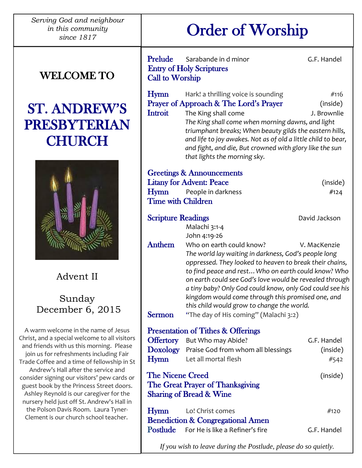*Serving God and neighbour in this community* 

### WELCOME TO

## ST. ANDREW'S PRESBYTERIAN **CHURCH**



Advent II

Sunday December 6, 2015

A warm welcome in the name of Jesus Christ, and a special welcome to all visitors and friends with us this morning. Please join us for refreshments including Fair Trade Coffee and a time of fellowship in St Andrew's Hall after the service and consider signing our visitors' pew cards or guest book by the Princess Street doors. Ashley Reynold is our caregiver for the nursery held just off St. Andrew's Hall in the Polson Davis Room. Laura Tyner-Clement is our church school teacher.

ֺ

# *his community* | **Order of Worship**

| Prelude<br>Call to Worship                                                                                    | Sarabande in d minor<br><b>Entry of Holy Scriptures</b>                                                                                                                                                                                                                                                                                                                                                                                                                                             | G.F. Handel                     |
|---------------------------------------------------------------------------------------------------------------|-----------------------------------------------------------------------------------------------------------------------------------------------------------------------------------------------------------------------------------------------------------------------------------------------------------------------------------------------------------------------------------------------------------------------------------------------------------------------------------------------------|---------------------------------|
| <b>Hymn</b><br>Introit                                                                                        | Hark! a thrilling voice is sounding<br>Prayer of Approach & The Lord's Prayer<br>The King shall come<br>The King shall come when morning dawns, and light<br>triumphant breaks; When beauty gilds the eastern hills,<br>and life to joy awakes. Not as of old a little child to bear,<br>and fight, and die, But crowned with glory like the sun<br>that lights the morning sky.                                                                                                                    | #116<br>(inside)<br>J. Brownlie |
| <b>Greetings &amp; Announcements</b>                                                                          |                                                                                                                                                                                                                                                                                                                                                                                                                                                                                                     |                                 |
|                                                                                                               | <b>Litany for Advent: Peace</b>                                                                                                                                                                                                                                                                                                                                                                                                                                                                     | (inside)                        |
|                                                                                                               | <b>Hymn</b> People in darkness                                                                                                                                                                                                                                                                                                                                                                                                                                                                      | #124                            |
| <b>Time with Children</b>                                                                                     |                                                                                                                                                                                                                                                                                                                                                                                                                                                                                                     |                                 |
| <b>Scripture Readings</b>                                                                                     |                                                                                                                                                                                                                                                                                                                                                                                                                                                                                                     | David Jackson                   |
|                                                                                                               | Malachi 3:1-4                                                                                                                                                                                                                                                                                                                                                                                                                                                                                       |                                 |
|                                                                                                               | John 4:19-26                                                                                                                                                                                                                                                                                                                                                                                                                                                                                        |                                 |
| Anthem                                                                                                        | Who on earth could know?<br>V. MacKenzie<br>The world lay waiting in darkness, God's people long<br>oppressed. They looked to heaven to break their chains,<br>to find peace and rest Who on earth could know? Who<br>on earth could see God's love would be revealed through<br>a tiny baby? Only God could know, only God could see his<br>kingdom would come through this promised one, and<br>this child would grow to change the world.<br><b>Sermon</b> "The day of His coming" (Malachi 3:2) |                                 |
|                                                                                                               | <b>Presentation of Tithes &amp; Offerings</b>                                                                                                                                                                                                                                                                                                                                                                                                                                                       |                                 |
|                                                                                                               | <b>Offertory</b> But Who may Abide?                                                                                                                                                                                                                                                                                                                                                                                                                                                                 | G.F. Handel                     |
|                                                                                                               | Doxology Praise God from whom all blessings                                                                                                                                                                                                                                                                                                                                                                                                                                                         | (inside)                        |
| Hymn                                                                                                          | Let all mortal flesh                                                                                                                                                                                                                                                                                                                                                                                                                                                                                | #542                            |
| <b>The Nicene Creed</b><br>(inside)<br>The Great Prayer of Thanksgiving<br><b>Sharing of Bread &amp; Wine</b> |                                                                                                                                                                                                                                                                                                                                                                                                                                                                                                     |                                 |
| Hymn                                                                                                          | Lo! Christ comes                                                                                                                                                                                                                                                                                                                                                                                                                                                                                    | #120                            |
|                                                                                                               | <b>Benediction &amp; Congregational Amen</b>                                                                                                                                                                                                                                                                                                                                                                                                                                                        |                                 |
| Postlude                                                                                                      | For He is like a Refiner's fire                                                                                                                                                                                                                                                                                                                                                                                                                                                                     | G.F. Handel                     |
|                                                                                                               |                                                                                                                                                                                                                                                                                                                                                                                                                                                                                                     |                                 |

*If you wish to leave during the Postlude, please do so quietly.*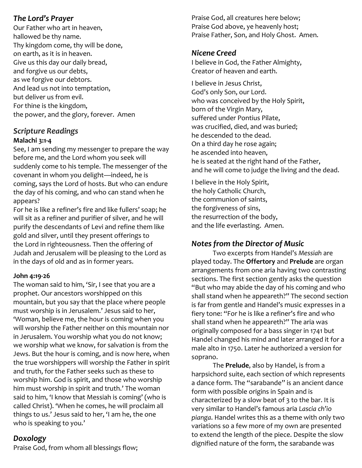#### *The Lord's Prayer*

Our Father who art in heaven, hallowed be thy name. Thy kingdom come, thy will be done, on earth, as it is in heaven. Give us this day our daily bread, and forgive us our debts, as we forgive our debtors. And lead us not into temptation, but deliver us from evil. For thine is the kingdom, the power, and the glory, forever. Amen

#### *Scripture Readings* **Malachi 3:1-4**

See, I am sending my messenger to prepare the way before me, and the Lord whom you seek will suddenly come to his temple. The messenger of the covenant in whom you delight—indeed, he is coming, says the Lord of hosts. But who can endure the day of his coming, and who can stand when he appears?

For he is like a refiner's fire and like fullers' soap; he will sit as a refiner and purifier of silver, and he will purify the descendants of Levi and refine them like gold and silver, until they present offerings to the Lord in righteousness. Then the offering of Judah and Jerusalem will be pleasing to the Lord as in the days of old and as in former years.

#### **John 4:19-26**

The woman said to him, 'Sir, I see that you are a prophet. Our ancestors worshipped on this mountain, but you say that the place where people must worship is in Jerusalem.' Jesus said to her, 'Woman, believe me, the hour is coming when you will worship the Father neither on this mountain nor in Jerusalem. You worship what you do not know; we worship what we know, for salvation is from the Jews. But the hour is coming, and is now here, when the true worshippers will worship the Father in spirit and truth, for the Father seeks such as these to worship him. God is spirit, and those who worship him must worship in spirit and truth.' The woman said to him, 'I know that Messiah is coming' (who is called Christ). 'When he comes, he will proclaim all things to us.' Jesus said to her, 'I am he, the one who is speaking to you.'

#### *Doxology*

Praise God, from whom all blessings flow;

Praise God, all creatures here below; Praise God above, ye heavenly host; Praise Father, Son, and Holy Ghost. Amen.

#### *Nicene Creed*

I believe in God, the Father Almighty, Creator of heaven and earth.

I believe in Jesus Christ, God's only Son, our Lord. who was conceived by the Holy Spirit, born of the Virgin Mary, suffered under Pontius Pilate, was crucified, died, and was buried; he descended to the dead. On a third day he rose again; he ascended into heaven, he is seated at the right hand of the Father, and he will come to judge the living and the dead.

I believe in the Holy Spirit, the holy Catholic Church, the communion of saints, the forgiveness of sins, the resurrection of the body, and the life everlasting. Amen.

#### *Notes from the Director of Music*

Two excerpts from Handel's *Messiah* are played today. The **Offertory** and **Prelude** are organ arrangements from one aria having two contrasting sections. The first section gently asks the question "But who may abide the day of his coming and who shall stand when he appeareth?" The second section is far from gentle and Handel's music expresses in a fiery tone: "For he is like a refiner's fire and who shall stand when he appeareth?" The aria was originally composed for a bass singer in 1741 but Handel changed his mind and later arranged it for a male alto in 1750. Later he authorized a version for soprano.

The **Prelude**, also by Handel, is from a harpsichord suite, each section of which represents a dance form. The "sarabande" is an ancient dance form with possible origins in Spain and is characterized by a slow beat of 3 to the bar. It is very similar to Handel's famous aria *Lascia ch'io pianga*. Handel writes this as a theme with only two variations so a few more of my own are presented to extend the length of the piece. Despite the slow dignified nature of the form, the sarabande was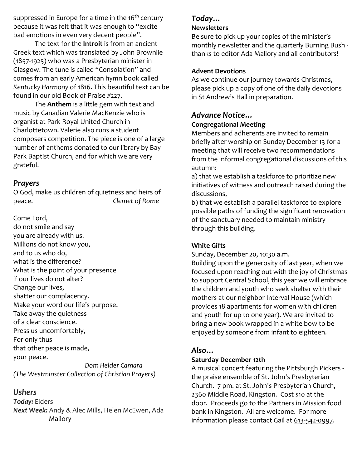suppressed in Europe for a time in the 16<sup>th</sup> century because it was felt that it was enough to "excite bad emotions in even very decent people".

The text for the **Introit** is from an ancient Greek text which was translated by John Brownlie (1857-1925) who was a Presbyterian minister in Glasgow. The tune is called "Consolation" and comes from an early American hymn book called *Kentucky Harmony* of 1816. This beautiful text can be found in our old Book of Praise #227.

The **Anthem** is a little gem with text and music by Canadian Valerie MacKenzie who is organist at Park Royal United Church in Charlottetown. Valerie also runs a student composers competition. The piece is one of a large number of anthems donated to our library by Bay Park Baptist Church, and for which we are very grateful.

#### *Prayers*

O God, make us children of quietness and heirs of peace. *Clemet of Rome*

Come Lord, do not smile and say you are already with us. Millions do not know you, and to us who do, what is the difference? What is the point of your presence if our lives do not alter? Change our lives, shatter our complacency. Make your word our life's purpose. Take away the quietness of a clear conscience. Press us uncomfortably, For only thus that other peace is made, your peace.

 *Dom Helder Camara (The Westminster Collection of Christian Prayers)*

#### *Ushers*

*Today:* Elders *Next Week:* Andy & Alec Mills, Helen McEwen, Ada Mallory

#### *Today…*

#### **Newsletters**

Be sure to pick up your copies of the minister's monthly newsletter and the quarterly Burning Bush thanks to editor Ada Mallory and all contributors!

#### **Advent Devotions**

As we continue our journey towards Christmas, please pick up a copy of one of the daily devotions in St Andrew's Hall in preparation.

#### *Advance Notice…* **Congregational Meeting**

Members and adherents are invited to remain briefly after worship on Sunday December 13 for a meeting that will receive two recommendations from the informal congregational discussions of this autumn:

a) that we establish a taskforce to prioritize new initiatives of witness and outreach raised during the discussions,

b) that we establish a parallel taskforce to explore possible paths of funding the significant renovation of the sanctuary needed to maintain ministry through this building.

#### **White Gifts**

Sunday, December 20, 10:30 a.m.

Building upon the generosity of last year, when we focused upon reaching out with the joy of Christmas to support Central School, this year we will embrace the children and youth who seek shelter with their mothers at our neighbor Interval House (which provides 18 apartments for women with children and youth for up to one year). We are invited to bring a new book wrapped in a white bow to be enjoyed by someone from infant to eighteen.

#### *Also…*

#### **Saturday December 12th**

A musical concert featuring the Pittsburgh Pickers the praise ensemble of St. John's Presbyterian Church. 7 pm. at St. John's Presbyterian Church, 2360 Middle Road, Kingston. Cost \$10 at the door. Proceeds go to the Partners in Mission food bank in Kingston. All are welcome. For more information please contact Gail at [613-542-0997.](tel:613-542-0997)